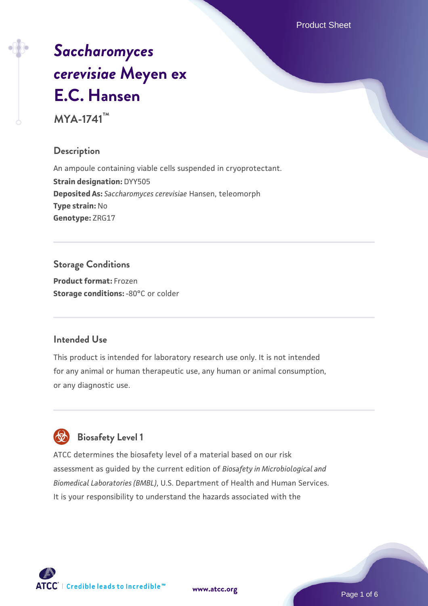Product Sheet

# *[Saccharomyces](https://www.atcc.org/products/mya-1741) [cerevisiae](https://www.atcc.org/products/mya-1741)* **[Meyen ex](https://www.atcc.org/products/mya-1741) [E.C. Hansen](https://www.atcc.org/products/mya-1741)**

**MYA-1741™**

#### **Description**

An ampoule containing viable cells suspended in cryoprotectant. **Strain designation:** DYY505 **Deposited As:** *Saccharomyces cerevisiae* Hansen, teleomorph **Type strain:** No **Genotype:** ZRG17

#### **Storage Conditions**

**Product format:** Frozen **Storage conditions: -80°C or colder** 

#### **Intended Use**

This product is intended for laboratory research use only. It is not intended for any animal or human therapeutic use, any human or animal consumption, or any diagnostic use.

### **Biosafety Level 1**

ATCC determines the biosafety level of a material based on our risk assessment as guided by the current edition of *Biosafety in Microbiological and Biomedical Laboratories (BMBL)*, U.S. Department of Health and Human Services. It is your responsibility to understand the hazards associated with the

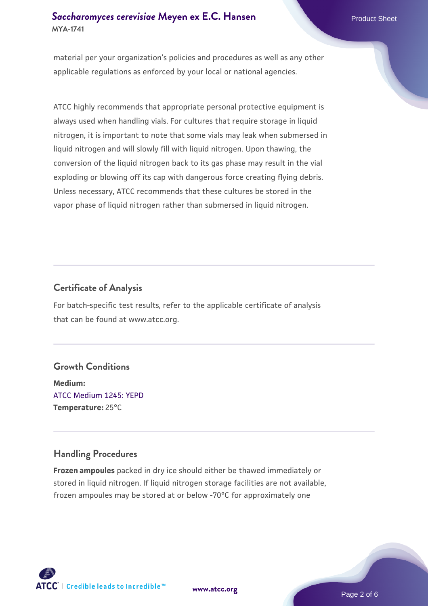#### **[Saccharomyces cerevisiae](https://www.atcc.org/products/mya-1741)** [Meyen ex E.C. Hansen](https://www.atcc.org/products/mya-1741) **MYA-1741**

material per your organization's policies and procedures as well as any other applicable regulations as enforced by your local or national agencies.

ATCC highly recommends that appropriate personal protective equipment is always used when handling vials. For cultures that require storage in liquid nitrogen, it is important to note that some vials may leak when submersed in liquid nitrogen and will slowly fill with liquid nitrogen. Upon thawing, the conversion of the liquid nitrogen back to its gas phase may result in the vial exploding or blowing off its cap with dangerous force creating flying debris. Unless necessary, ATCC recommends that these cultures be stored in the vapor phase of liquid nitrogen rather than submersed in liquid nitrogen.

#### **Certificate of Analysis**

For batch-specific test results, refer to the applicable certificate of analysis that can be found at www.atcc.org.

#### **Growth Conditions**

**Medium:**  [ATCC Medium 1245: YEPD](https://www.atcc.org/-/media/product-assets/documents/microbial-media-formulations/1/2/4/5/atcc-medium-1245.pdf?rev=705ca55d1b6f490a808a965d5c072196) **Temperature:** 25°C

#### **Handling Procedures**

**Frozen ampoules** packed in dry ice should either be thawed immediately or stored in liquid nitrogen. If liquid nitrogen storage facilities are not available, frozen ampoules may be stored at or below -70°C for approximately one





Page 2 of 6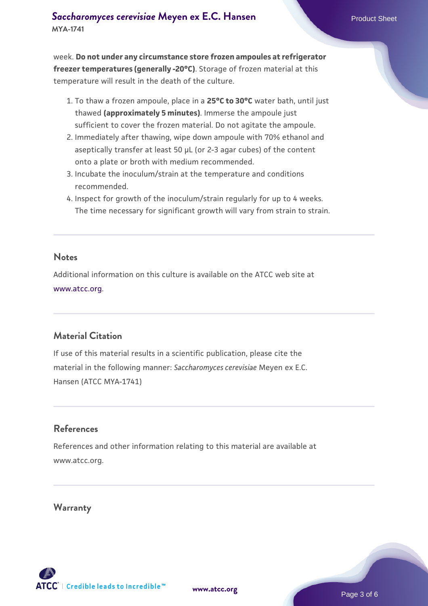week. **Do not under any circumstance store frozen ampoules at refrigerator freezer temperatures (generally -20°C)**. Storage of frozen material at this temperature will result in the death of the culture.

- 1. To thaw a frozen ampoule, place in a **25°C to 30°C** water bath, until just thawed **(approximately 5 minutes)**. Immerse the ampoule just sufficient to cover the frozen material. Do not agitate the ampoule.
- 2. Immediately after thawing, wipe down ampoule with 70% ethanol and aseptically transfer at least 50 µL (or 2-3 agar cubes) of the content onto a plate or broth with medium recommended.
- Incubate the inoculum/strain at the temperature and conditions 3. recommended.
- 4. Inspect for growth of the inoculum/strain regularly for up to 4 weeks. The time necessary for significant growth will vary from strain to strain.

#### **Notes**

Additional information on this culture is available on the ATCC web site at [www.atcc.org.](http://www.atcc.org/)

#### **Material Citation**

If use of this material results in a scientific publication, please cite the material in the following manner: *Saccharomyces cerevisiae* Meyen ex E.C. Hansen (ATCC MYA-1741)

#### **References**

References and other information relating to this material are available at www.atcc.org.

#### **Warranty**

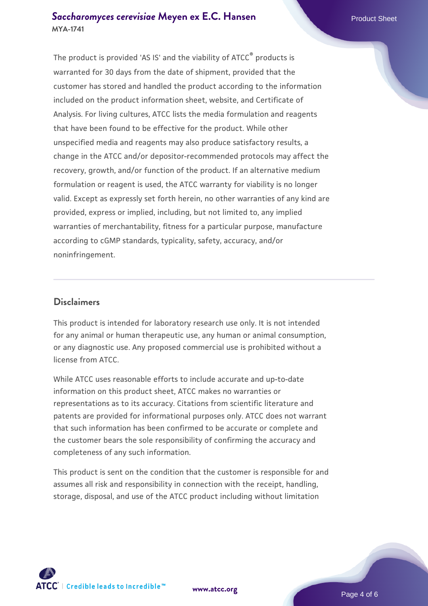#### **[Saccharomyces cerevisiae](https://www.atcc.org/products/mya-1741)** [Meyen ex E.C. Hansen](https://www.atcc.org/products/mya-1741) **MYA-1741**

The product is provided 'AS IS' and the viability of ATCC® products is warranted for 30 days from the date of shipment, provided that the customer has stored and handled the product according to the information included on the product information sheet, website, and Certificate of Analysis. For living cultures, ATCC lists the media formulation and reagents that have been found to be effective for the product. While other unspecified media and reagents may also produce satisfactory results, a change in the ATCC and/or depositor-recommended protocols may affect the recovery, growth, and/or function of the product. If an alternative medium formulation or reagent is used, the ATCC warranty for viability is no longer valid. Except as expressly set forth herein, no other warranties of any kind are provided, express or implied, including, but not limited to, any implied warranties of merchantability, fitness for a particular purpose, manufacture according to cGMP standards, typicality, safety, accuracy, and/or noninfringement.

#### **Disclaimers**

This product is intended for laboratory research use only. It is not intended for any animal or human therapeutic use, any human or animal consumption, or any diagnostic use. Any proposed commercial use is prohibited without a license from ATCC.

While ATCC uses reasonable efforts to include accurate and up-to-date information on this product sheet, ATCC makes no warranties or representations as to its accuracy. Citations from scientific literature and patents are provided for informational purposes only. ATCC does not warrant that such information has been confirmed to be accurate or complete and the customer bears the sole responsibility of confirming the accuracy and completeness of any such information.

This product is sent on the condition that the customer is responsible for and assumes all risk and responsibility in connection with the receipt, handling, storage, disposal, and use of the ATCC product including without limitation



**[www.atcc.org](http://www.atcc.org)**

Page 4 of 6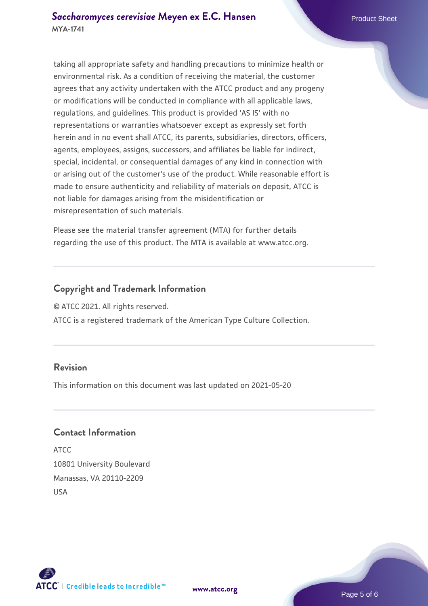taking all appropriate safety and handling precautions to minimize health or environmental risk. As a condition of receiving the material, the customer agrees that any activity undertaken with the ATCC product and any progeny or modifications will be conducted in compliance with all applicable laws, regulations, and guidelines. This product is provided 'AS IS' with no representations or warranties whatsoever except as expressly set forth herein and in no event shall ATCC, its parents, subsidiaries, directors, officers, agents, employees, assigns, successors, and affiliates be liable for indirect, special, incidental, or consequential damages of any kind in connection with or arising out of the customer's use of the product. While reasonable effort is made to ensure authenticity and reliability of materials on deposit, ATCC is not liable for damages arising from the misidentification or misrepresentation of such materials.

Please see the material transfer agreement (MTA) for further details regarding the use of this product. The MTA is available at www.atcc.org.

#### **Copyright and Trademark Information**

© ATCC 2021. All rights reserved.

ATCC is a registered trademark of the American Type Culture Collection.

#### **Revision**

This information on this document was last updated on 2021-05-20

#### **Contact Information**

ATCC 10801 University Boulevard Manassas, VA 20110-2209 USA